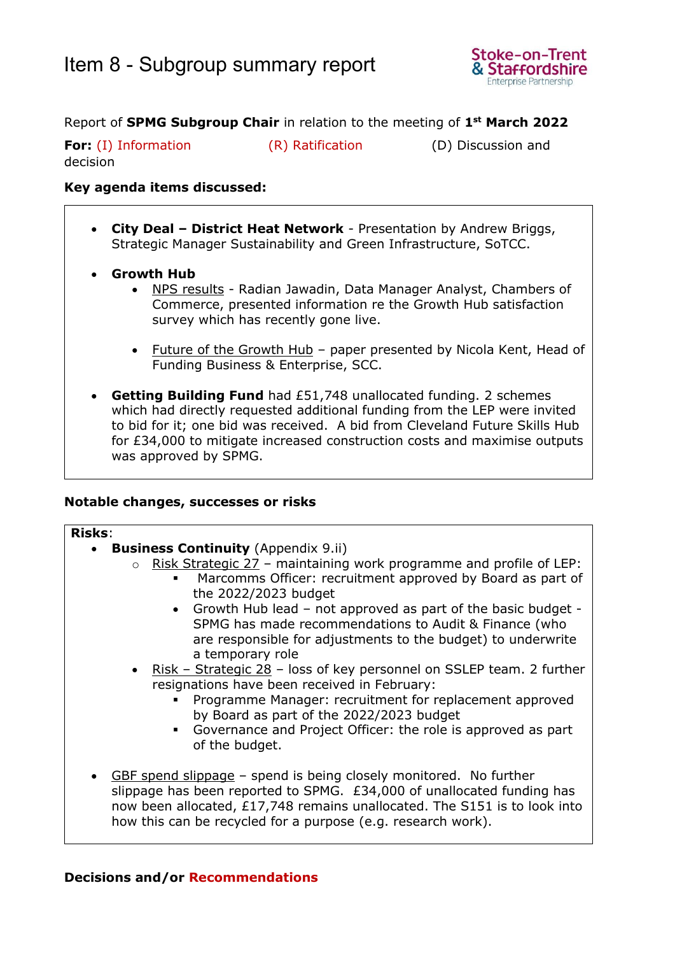

## Report of **SPMG Subgroup Chair** in relation to the meeting of **1 st March 2022**

**For:** (I) Information (R) Ratification (D) Discussion and decision

### **Key agenda items discussed:**

- **City Deal – District Heat Network** Presentation by Andrew Briggs, Strategic Manager Sustainability and Green Infrastructure, SoTCC.
- **Growth Hub** 
	- NPS results Radian Jawadin, Data Manager Analyst, Chambers of Commerce, presented information re the Growth Hub satisfaction survey which has recently gone live.
	- Future of the Growth Hub paper presented by Nicola Kent, Head of Funding Business & Enterprise, SCC.
- **Getting Building Fund** had £51,748 unallocated funding. 2 schemes which had directly requested additional funding from the LEP were invited to bid for it; one bid was received. A bid from Cleveland Future Skills Hub for £34,000 to mitigate increased construction costs and maximise outputs was approved by SPMG.

### **Notable changes, successes or risks**

#### **Risks**:

- **Business Continuity** (Appendix 9.ii)
	- $\circ$  Risk Strategic 27 maintaining work programme and profile of LEP:
		- Marcomms Officer: recruitment approved by Board as part of the 2022/2023 budget
		- Growth Hub lead not approved as part of the basic budget SPMG has made recommendations to Audit & Finance (who are responsible for adjustments to the budget) to underwrite a temporary role
	- Risk Strategic 28 loss of key personnel on SSLEP team. 2 further resignations have been received in February:
		- Programme Manager: recruitment for replacement approved by Board as part of the 2022/2023 budget
		- Governance and Project Officer: the role is approved as part of the budget.
- GBF spend slippage spend is being closely monitored. No further slippage has been reported to SPMG. £34,000 of unallocated funding has now been allocated, £17,748 remains unallocated. The S151 is to look into how this can be recycled for a purpose (e.g. research work).